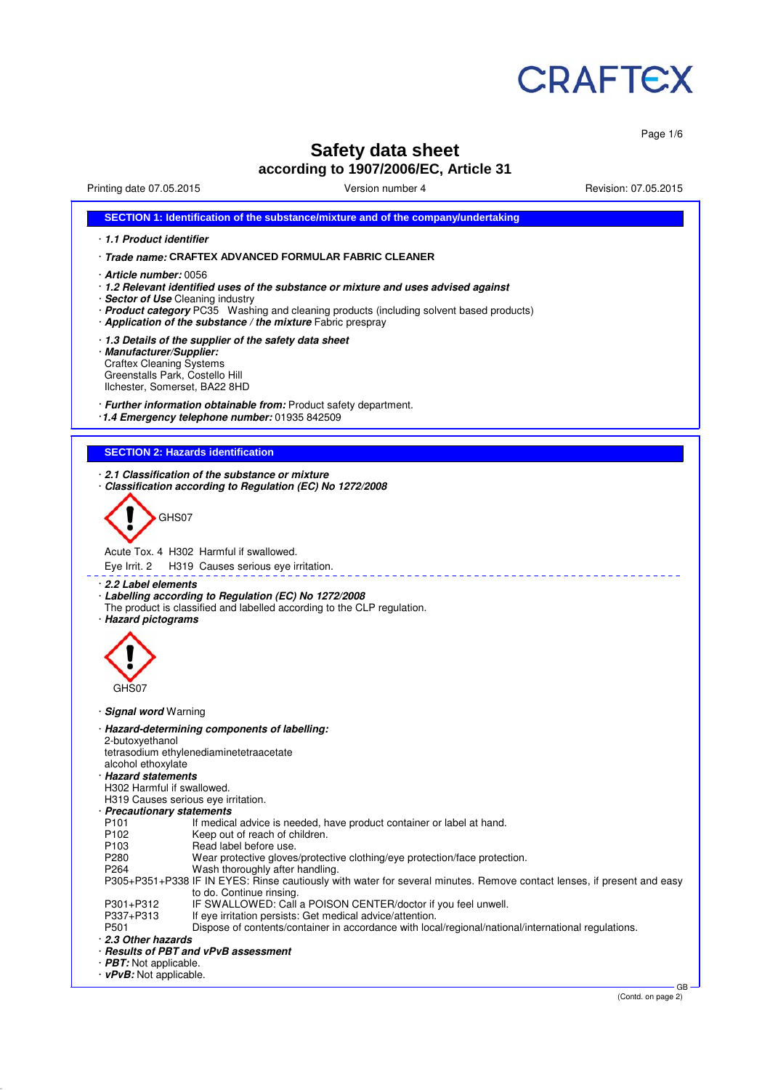

Page 1/6

# **Safety data sheet according to 1907/2006/EC, Article 31**

| Printing date 07.05.2015                                                                                                        | Version number 4                                                                                                                                                                                                                              | Revision: 07.05.2015 |
|---------------------------------------------------------------------------------------------------------------------------------|-----------------------------------------------------------------------------------------------------------------------------------------------------------------------------------------------------------------------------------------------|----------------------|
|                                                                                                                                 | SECTION 1: Identification of the substance/mixture and of the company/undertaking                                                                                                                                                             |                      |
| 1.1 Product identifier                                                                                                          |                                                                                                                                                                                                                                               |                      |
|                                                                                                                                 | · Trade name: CRAFTEX ADVANCED FORMULAR FABRIC CLEANER                                                                                                                                                                                        |                      |
| · Article number: 0056<br>· Sector of Use Cleaning industry                                                                     | 1.2 Relevant identified uses of the substance or mixture and uses advised against<br>· Product category PC35 Washing and cleaning products (including solvent based products)<br>· Application of the substance / the mixture Fabric prespray |                      |
| · Manufacturer/Supplier:<br><b>Craftex Cleaning Systems</b><br>Greenstalls Park, Costello Hill<br>Ilchester, Somerset, BA22 8HD | 1.3 Details of the supplier of the safety data sheet                                                                                                                                                                                          |                      |
|                                                                                                                                 | · Further information obtainable from: Product safety department.<br>1.4 Emergency telephone number: 01935 842509                                                                                                                             |                      |
| <b>SECTION 2: Hazards identification</b>                                                                                        |                                                                                                                                                                                                                                               |                      |
|                                                                                                                                 | 2.1 Classification of the substance or mixture<br>Classification according to Regulation (EC) No 1272/2008                                                                                                                                    |                      |
|                                                                                                                                 |                                                                                                                                                                                                                                               |                      |
| GHS07                                                                                                                           |                                                                                                                                                                                                                                               |                      |
|                                                                                                                                 |                                                                                                                                                                                                                                               |                      |
| Acute Tox, 4 H302 Harmful if swallowed.                                                                                         |                                                                                                                                                                                                                                               |                      |
| Eye Irrit. 2                                                                                                                    | H319 Causes serious eye irritation.                                                                                                                                                                                                           |                      |
| 2.2 Label elements<br>· Hazard pictograms                                                                                       | · Labelling according to Regulation (EC) No 1272/2008<br>The product is classified and labelled according to the CLP regulation.                                                                                                              |                      |
|                                                                                                                                 |                                                                                                                                                                                                                                               |                      |
|                                                                                                                                 |                                                                                                                                                                                                                                               |                      |
|                                                                                                                                 |                                                                                                                                                                                                                                               |                      |
|                                                                                                                                 |                                                                                                                                                                                                                                               |                      |
| GHS07                                                                                                                           |                                                                                                                                                                                                                                               |                      |
| · Signal word Warning                                                                                                           |                                                                                                                                                                                                                                               |                      |
|                                                                                                                                 | · Hazard-determining components of labelling:                                                                                                                                                                                                 |                      |
| 2-butoxyethanol                                                                                                                 |                                                                                                                                                                                                                                               |                      |
| tetrasodium ethylenediaminetetraacetate                                                                                         |                                                                                                                                                                                                                                               |                      |
| alcohol ethoxylate                                                                                                              |                                                                                                                                                                                                                                               |                      |
| <b>Hazard statements</b><br>H302 Harmful if swallowed.                                                                          |                                                                                                                                                                                                                                               |                      |
| H319 Causes serious eye irritation.                                                                                             |                                                                                                                                                                                                                                               |                      |
| · Precautionary statements                                                                                                      |                                                                                                                                                                                                                                               |                      |
| P101                                                                                                                            | If medical advice is needed, have product container or label at hand.                                                                                                                                                                         |                      |
| P102                                                                                                                            | Keep out of reach of children.                                                                                                                                                                                                                |                      |
| P <sub>103</sub>                                                                                                                | Read label before use.                                                                                                                                                                                                                        |                      |
| P280<br>P <sub>264</sub>                                                                                                        | Wear protective gloves/protective clothing/eye protection/face protection.                                                                                                                                                                    |                      |
|                                                                                                                                 | Wash thoroughly after handling.<br>P305+P351+P338 IF IN EYES: Rinse cautiously with water for several minutes. Remove contact lenses, if present and easy                                                                                     |                      |
|                                                                                                                                 | to do. Continue rinsing.                                                                                                                                                                                                                      |                      |
| P301+P312                                                                                                                       | IF SWALLOWED: Call a POISON CENTER/doctor if you feel unwell.                                                                                                                                                                                 |                      |
| P337+P313<br>P501                                                                                                               | If eye irritation persists: Get medical advice/attention.<br>Dispose of contents/container in accordance with local/regional/national/international regulations.                                                                              |                      |
| 2.3 Other hazards                                                                                                               |                                                                                                                                                                                                                                               |                      |
| · Results of PBT and vPvB assessment                                                                                            |                                                                                                                                                                                                                                               |                      |
| · PBT: Not applicable.                                                                                                          |                                                                                                                                                                                                                                               |                      |
| $\cdot$ vPvB: Not applicable.                                                                                                   |                                                                                                                                                                                                                                               |                      |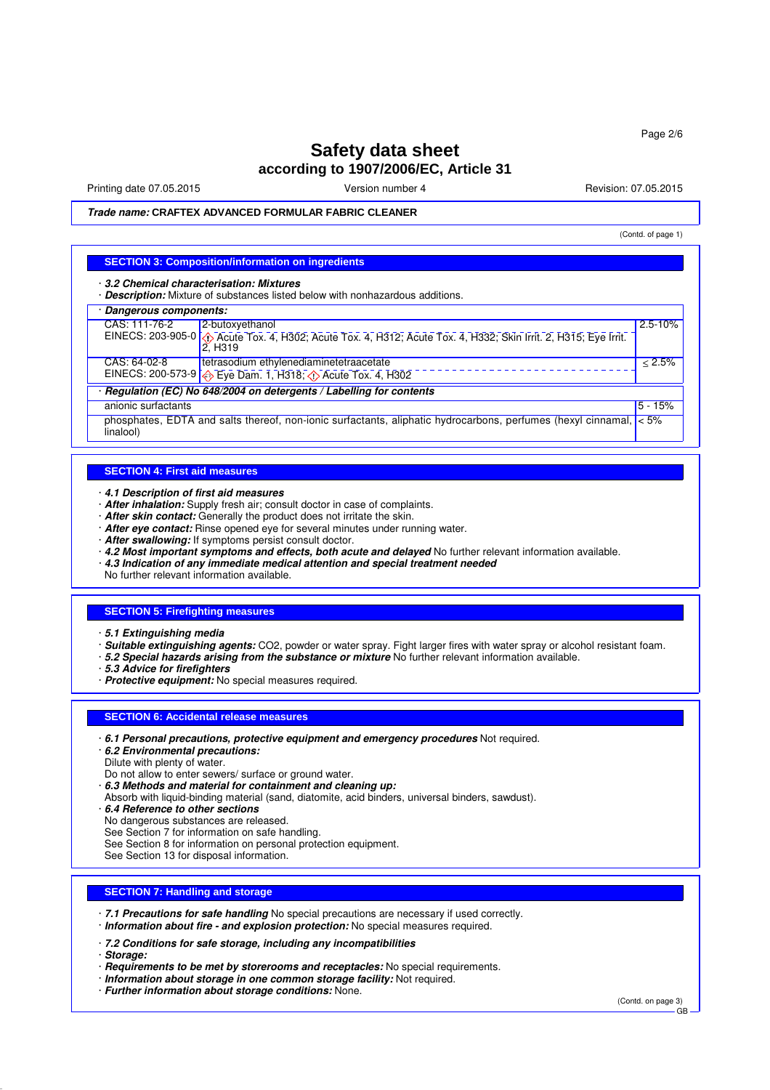# **Safety data sheet according to 1907/2006/EC, Article 31**

Printing date 07.05.2015 **Version number 4** Account 2008 2015 **Revision: 07.05.2015** 

#### **Trade name: CRAFTEX ADVANCED FORMULAR FABRIC CLEANER**

(Contd. of page 1)

#### **SECTION 3: Composition/information on ingredients**

· **3.2 Chemical characterisation: Mixtures**

· **Description:** Mixture of substances listed below with nonhazardous additions.

## · **Dangerous components:**

| CAS: 111-76-2<br>2-butoxyethanol                                                 |                                                                                                                          | $2.5 - 10%$ |
|----------------------------------------------------------------------------------|--------------------------------------------------------------------------------------------------------------------------|-------------|
| '2. H319                                                                         | EINECS: 203-905-0 $\Diamond$ Acute Tox. 4, H302; Acute Tox. 4, H312; Acute Tox. 4, H332; Skin Irrit. 2, H315; Eye Irrit. |             |
| CAS: 64-02-8<br>tetrasodium ethylenediaminetetraacetate                          |                                                                                                                          | $< 2.5\%$   |
| EINECS: 200-573-9 $\bigotimes$ Eye Dam. 1, H318; $\bigotimes$ Acute Tox. 4, H302 |                                                                                                                          |             |
| Regulation (EC) No 648/2004 on detergents / Labelling for contents               |                                                                                                                          |             |
| anionic surfactants                                                              |                                                                                                                          | $15 - 15%$  |
| linalool)                                                                        | phosphates, EDTA and salts thereof, non-ionic surfactants, aliphatic hydrocarbons, perfumes (hexyl cinnamal, $ $ < 5%    |             |

#### **SECTION 4: First aid measures**

- · **4.1 Description of first aid measures**
- · **After inhalation:** Supply fresh air; consult doctor in case of complaints.
- · **After skin contact:** Generally the product does not irritate the skin.
- · **After eye contact:** Rinse opened eye for several minutes under running water.
- · **After swallowing:** If symptoms persist consult doctor.
- · **4.2 Most important symptoms and effects, both acute and delayed** No further relevant information available.
- · **4.3 Indication of any immediate medical attention and special treatment needed**
- No further relevant information available.

#### **SECTION 5: Firefighting measures**

- · **5.1 Extinguishing media**
- · **Suitable extinguishing agents:** CO2, powder or water spray. Fight larger fires with water spray or alcohol resistant foam.
- · **5.2 Special hazards arising from the substance or mixture** No further relevant information available.
- · **5.3 Advice for firefighters**
- · **Protective equipment:** No special measures required.

#### **SECTION 6: Accidental release measures**

- · **6.1 Personal precautions, protective equipment and emergency procedures** Not required.
- · **6.2 Environmental precautions:**

Dilute with plenty of water.

- Do not allow to enter sewers/ surface or ground water.
- · **6.3 Methods and material for containment and cleaning up:**
- Absorb with liquid-binding material (sand, diatomite, acid binders, universal binders, sawdust).
- · **6.4 Reference to other sections**
- No dangerous substances are released.
- See Section 7 for information on safe handling.
- See Section 8 for information on personal protection equipment.
- See Section 13 for disposal information.

#### **SECTION 7: Handling and storage**

- · **7.1 Precautions for safe handling** No special precautions are necessary if used correctly.
- · **Information about fire and explosion protection:** No special measures required.
- · **7.2 Conditions for safe storage, including any incompatibilities**
- · **Storage:**
- · **Requirements to be met by storerooms and receptacles:** No special requirements.
- · **Information about storage in one common storage facility:** Not required.
- · **Further information about storage conditions:** None.

(Contd. on page 3)

GB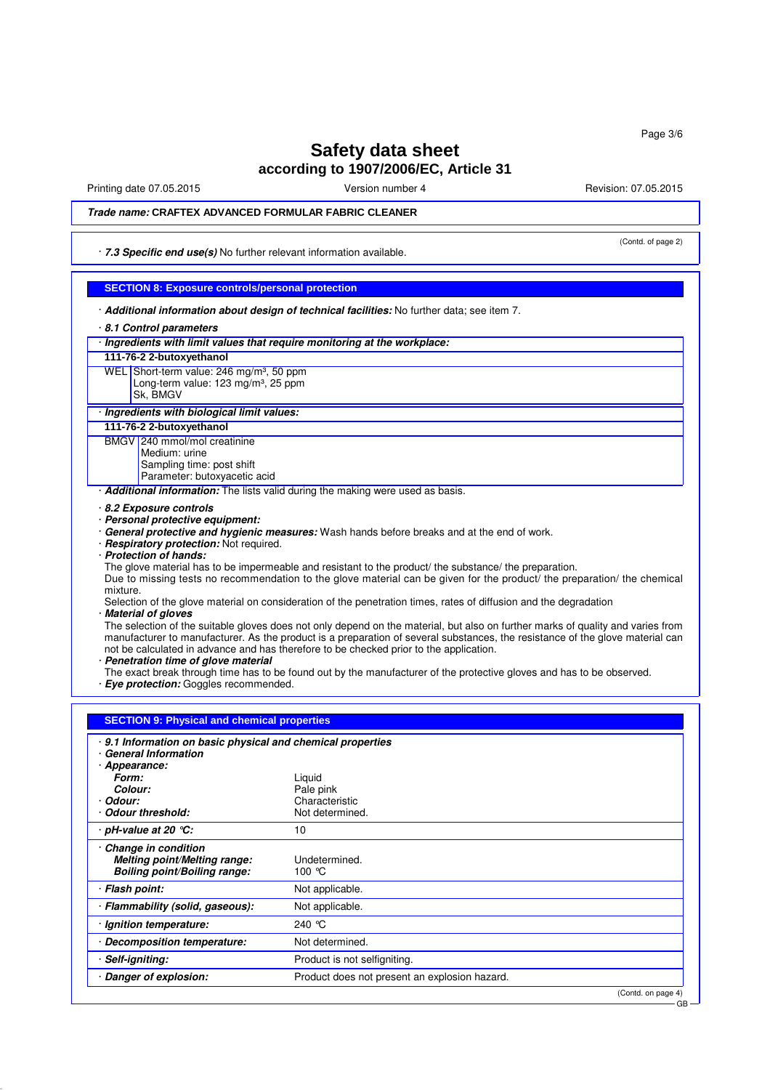# **Safety data sheet according to 1907/2006/EC, Article 31**

Printing date 07.05.2015 Version number 4 Revision: 07.05.2015

(Contd. of page 2)

## **Trade name: CRAFTEX ADVANCED FORMULAR FABRIC CLEANER**

· **7.3 Specific end use(s)** No further relevant information available.

## **SECTION 8: Exposure controls/personal protection**

· **Additional information about design of technical facilities:** No further data; see item 7.

## · **8.1 Control parameters**

| · Ingredients with limit values that require monitoring at the workplace: |                                                                                                                                 |
|---------------------------------------------------------------------------|---------------------------------------------------------------------------------------------------------------------------------|
| 111-76-2 2-butoxyethanol                                                  |                                                                                                                                 |
| WEL Short-term value: 246 mg/m <sup>3</sup> , 50 ppm                      |                                                                                                                                 |
| Long-term value: 123 mg/m <sup>3</sup> , 25 ppm                           |                                                                                                                                 |
| Sk, BMGV                                                                  |                                                                                                                                 |
| · Ingredients with biological limit values:                               |                                                                                                                                 |
| 111-76-2 2-butoxyethanol                                                  |                                                                                                                                 |
| BMGV 240 mmol/mol creatinine                                              |                                                                                                                                 |
| Medium: urine<br>Sampling time: post shift                                |                                                                                                                                 |
| Parameter: butoxyacetic acid                                              |                                                                                                                                 |
|                                                                           | Additional information: The lists valid during the making were used as basis.                                                   |
| 8.2 Exposure controls                                                     |                                                                                                                                 |
| · Personal protective equipment:                                          |                                                                                                                                 |
|                                                                           | · General protective and hygienic measures: Wash hands before breaks and at the end of work.                                    |
| · Respiratory protection: Not required.                                   |                                                                                                                                 |
| · Protection of hands:                                                    |                                                                                                                                 |
|                                                                           | The glove material has to be impermeable and resistant to the product/ the substance/ the preparation.                          |
|                                                                           | Due to missing tests no recommendation to the glove material can be given for the product/ the preparation/ the chemical        |
| mixture.                                                                  | Selection of the glove material on consideration of the penetration times, rates of diffusion and the degradation               |
| <b>Material of gloves</b>                                                 |                                                                                                                                 |
|                                                                           | The selection of the suitable gloves does not only depend on the material, but also on further marks of quality and varies from |
|                                                                           | manufacturer to manufacturer. As the product is a preparation of several substances, the resistance of the glove material can   |
|                                                                           | not be calculated in advance and has therefore to be checked prior to the application.                                          |
| · Penetration time of glove material                                      |                                                                                                                                 |
| · Eye protection: Goggles recommended.                                    | The exact break through time has to be found out by the manufacturer of the protective gloves and has to be observed.           |
|                                                                           |                                                                                                                                 |
|                                                                           |                                                                                                                                 |
| <b>SECTION 9: Physical and chemical properties</b>                        |                                                                                                                                 |
| 9.1 Information on basic physical and chemical properties                 |                                                                                                                                 |
| · General Information                                                     |                                                                                                                                 |
| · Appearance:                                                             |                                                                                                                                 |
| Form:                                                                     | Liguid                                                                                                                          |
| Colour:                                                                   | Pale pink                                                                                                                       |
| · Odour:                                                                  | Characteristic                                                                                                                  |
| Odour threshold:                                                          | Not determined.                                                                                                                 |
| $\cdot$ pH-value at 20 $\degree$ C:                                       | 10                                                                                                                              |
| Change in condition                                                       |                                                                                                                                 |
| <b>Melting point/Melting range:</b>                                       | Undetermined.                                                                                                                   |
| <b>Boiling point/Boiling range:</b>                                       | 100 $\degree$ C                                                                                                                 |
| · Flash point:                                                            | Not applicable.                                                                                                                 |
| · Flammability (solid, gaseous):                                          | Not applicable.                                                                                                                 |
| · Ignition temperature:                                                   | 240 ℃                                                                                                                           |
| · Decomposition temperature:                                              | Not determined.                                                                                                                 |
| Self-igniting:                                                            | Product is not selfigniting.                                                                                                    |
| Danger of explosion:                                                      | Product does not present an explosion hazard.                                                                                   |

(Contd. on page 4)

GB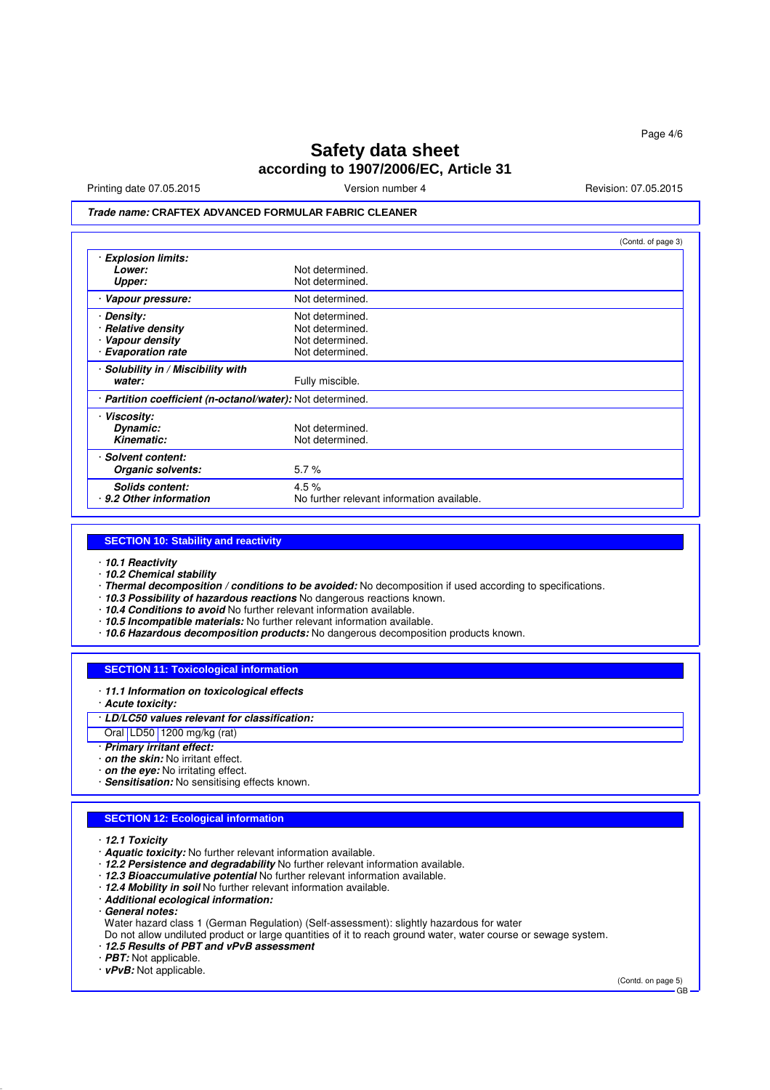# **Safety data sheet according to 1907/2006/EC, Article 31**

Printing date 07.05.2015 **Version number 4** Account 2008 2015 **Revision: 07.05.2015** 

(Contd. of page 3)

## **Trade name: CRAFTEX ADVANCED FORMULAR FABRIC CLEANER**

| (Con(a. or page 3)                                         |
|------------------------------------------------------------|
|                                                            |
| Not determined.                                            |
| Not determined.                                            |
| Not determined.                                            |
| Not determined.                                            |
| Not determined.                                            |
| Not determined.                                            |
| Not determined.                                            |
|                                                            |
| Fully miscible.                                            |
| · Partition coefficient (n-octanol/water): Not determined. |
|                                                            |
| Not determined.                                            |
| Not determined.                                            |
|                                                            |
| 5.7%                                                       |
| 4.5%                                                       |
| No further relevant information available.                 |
|                                                            |

#### **SECTION 10: Stability and reactivity**

- · **10.1 Reactivity**
- · **10.2 Chemical stability**
- · **Thermal decomposition / conditions to be avoided:** No decomposition if used according to specifications.
- · **10.3 Possibility of hazardous reactions** No dangerous reactions known.
- · **10.4 Conditions to avoid** No further relevant information available.
- · **10.5 Incompatible materials:** No further relevant information available.
- · **10.6 Hazardous decomposition products:** No dangerous decomposition products known.

## **SECTION 11: Toxicological information**

- · **11.1 Information on toxicological effects**
- · **Acute toxicity:**
- · **LD/LC50 values relevant for classification:**

#### Oral LD50 1200 mg/kg (rat)

- · **Primary irritant effect:**
- · **on the skin:** No irritant effect.
- · **on the eye:** No irritating effect.
- · **Sensitisation:** No sensitising effects known.

#### **SECTION 12: Ecological information**

· **12.1 Toxicity**

- · **Aquatic toxicity:** No further relevant information available.
- · **12.2 Persistence and degradability** No further relevant information available.
- · **12.3 Bioaccumulative potential** No further relevant information available.
- · **12.4 Mobility in soil** No further relevant information available.
- · **Additional ecological information:**
- · **General notes:**
- Water hazard class 1 (German Regulation) (Self-assessment): slightly hazardous for water
- Do not allow undiluted product or large quantities of it to reach ground water, water course or sewage system.
- · **12.5 Results of PBT and vPvB assessment**
- · **PBT:** Not applicable.

· **vPvB:** Not applicable.

(Contd. on page 5)

GB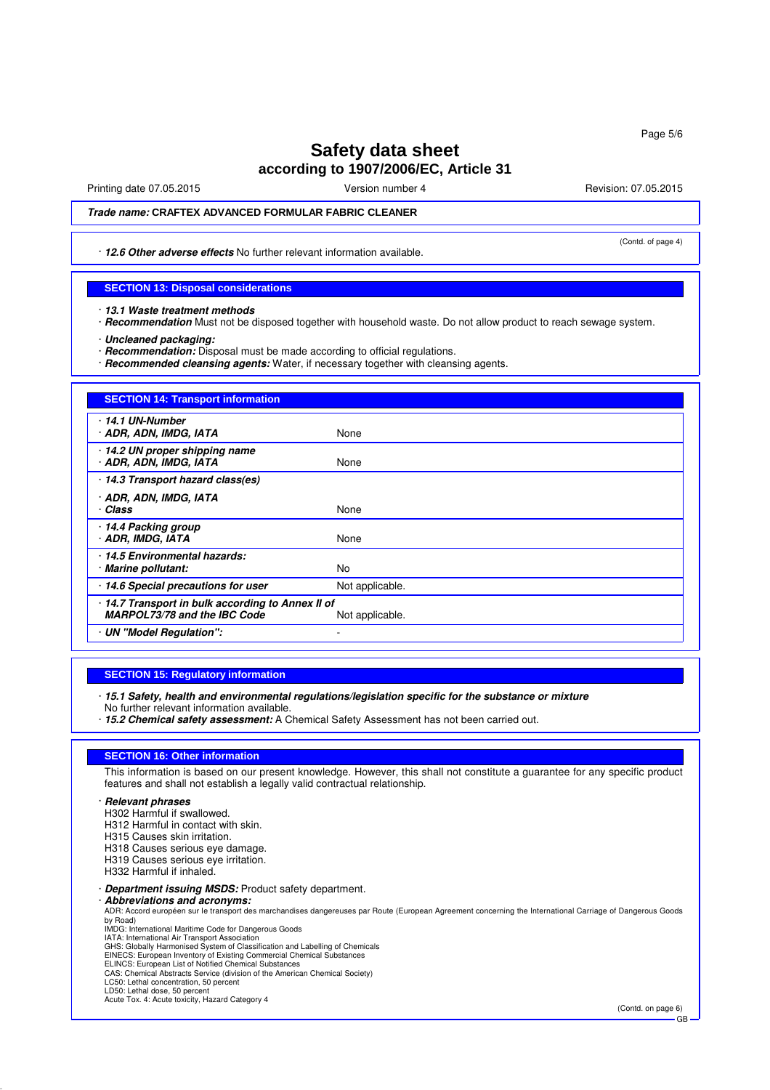# **Safety data sheet**

# **according to 1907/2006/EC, Article 31**

Printing date 07.05.2015 **Version number 4** Account 2008 2015 **Revision: 07.05.2015** 

(Contd. of page 4)

Page 5/6

## **Trade name: CRAFTEX ADVANCED FORMULAR FABRIC CLEANER**

· **12.6 Other adverse effects** No further relevant information available.

#### **SECTION 13: Disposal considerations**

- · **13.1 Waste treatment methods**
- · **Recommendation** Must not be disposed together with household waste. Do not allow product to reach sewage system.
- · **Uncleaned packaging:**
- · **Recommendation:** Disposal must be made according to official regulations.
- · **Recommended cleansing agents:** Water, if necessary together with cleansing agents.

## **SECTION 14: Transport information** · **14.1 UN-Number** · **ADR, ADN, IMDG, IATA** None · **14.2 UN proper shipping name ADR, ADN, IMDG, IATA** · **14.3 Transport hazard class(es)** · **ADR, ADN, IMDG, IATA** • **Class** None · **14.4 Packing group ADR. IMDG, IATA** · **14.5 Environmental hazards:** · **Marine pollutant:** No · **14.6 Special precautions for user** Not applicable. · **14.7 Transport in bulk according to Annex II of MARPOL73/78 and the IBC Code** Not applicable. · **UN "Model Regulation":** -

## **SECTION 15: Regulatory information**

- · **15.1 Safety, health and environmental regulations/legislation specific for the substance or mixture** No further relevant information available.
- · **15.2 Chemical safety assessment:** A Chemical Safety Assessment has not been carried out.

#### **SECTION 16: Other information**

This information is based on our present knowledge. However, this shall not constitute a guarantee for any specific product features and shall not establish a legally valid contractual relationship.

#### · **Relevant phrases**

- H302 Harmful if swallowed.
- H312 Harmful in contact with skin.
- H315 Causes skin irritation.
- H318 Causes serious eye damage.
- H319 Causes serious eye irritation.
- H332 Harmful if inhaled.

#### · **Department issuing MSDS:** Product safety department.

- · **Abbreviations and acronyms:** ADR: Accord européen sur le transport des marchandises dangereuses par Route (European Agreement concerning the International Carriage of Dangerous Goods by Road)
- 
- IMDG: International Maritime Code for Dangerous Goods IATA: International Air Transport Association
- GHS: Globally Harmonised System of Classification and Labelling of Chemicals EINECS: European Inventory of Existing Commercial Chemical Substances ELINCS: European List of Notified Chemical Substances
- 
- CAS: Chemical Abstracts Service (division of the American Chemical Society)
- LC50: Lethal concentration, 50 percent
- LD50: Lethal dose, 50 percent Acute Tox. 4: Acute toxicity, Hazard Category 4

(Contd. on page 6) GB